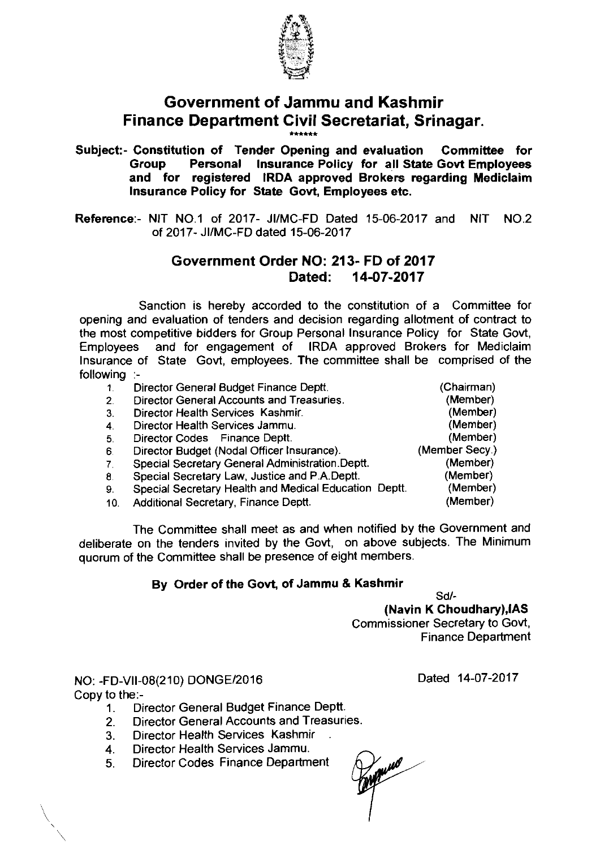

## **Government of Jammu and Kashmir Finance Department Civil Secretariat, Srinagar.**

\*\*\*\*\*\*

Subject:- Constitution of Tender Opening and evaluation Committee for Personal Insurance Policy for all State Govt Employees and for registered IRDA approved Brokers regarding Mediclaim lnsurance Policy for State Govt, Employees etc.

Reference:- NIT NO.1 of 2017- JI/MC-FD Dated 15-06-2017 and NIT NO.2 of 2017- JIIMC-FD dated 15-06-2017

## **Government Order NO: 213- FD of 2017**  Dated: **14-07-2017**

Sanction is hereby accorded to the constitution of a Committee for opening and evaluation of tenders and decision regarding allotment of contract to the most competitive bidders for Group Personal lnsurance Policy for State Govt. Employees and for engagement of IRDA approved Brokers for Mediclaim lnsurance of State Govt, employees. The committee shall be comprised of the following :-

| wing |                                                       |                |
|------|-------------------------------------------------------|----------------|
| 1.   | Director General Budget Finance Deptt.                | (Chairman)     |
| 2.   | <b>Director General Accounts and Treasuries.</b>      | (Member)       |
| З.   | Director Health Services Kashmir.                     | (Member)       |
| 4.   | Director Health Services Jammu.                       | (Member)       |
| 5.   | Director Codes Finance Deptt.                         | (Member)       |
| 6.   | Director Budget (Nodal Officer Insurance).            | (Member Secy.) |
| 7.   | Special Secretary General Administration. Deptt.      | (Member)       |
| 8.   | Special Secretary Law, Justice and P.A.Deptt.         | (Member)       |
| 9.   | Special Secretary Health and Medical Education Deptt. | (Member)       |
| 10.  | Additional Secretary, Finance Deptt.                  | (Member)       |

The Committee shall meet as and when notified by the Government and deliberate on the tenders invited by the Govt, on above subjects. The Minimum quorum of the Committee shall be presence of eight members.

## By Order of the Govt, of Jammu *8* Kashmir

Sdl-

(Navin K Choudhary),lAS Commissioner Secretary to Govt, Finance Department

NO: -FD-V11-08(21O) DONGEl2016 Copy to the:-

- 1. Director General Budget Finance Deptt
- 2. Director General Accounts and Treasuries.
- 3. Director Health Services Kashmir .
- 4. Director Health Services Jammu.
- 5. Director Codes Finance Department

Dated 14-07-2017